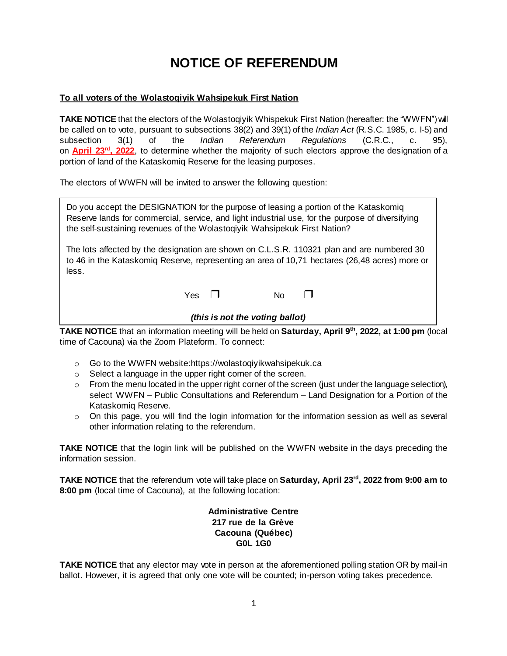# **NOTICE OF REFERENDUM**

## **To all voters of the Wolastoqiyik Wahsipekuk First Nation**

**TAKE NOTICE** that the electors of the Wolastoqiyik Whispekuk First Nation (hereafter: the "WWFN") will be called on to vote, pursuant to subsections 38(2) and 39(1) of the *Indian Act* (R.S.C. 1985, c. I-5) and subsection 3(1) of the *Indian Referendum Regulations* (C.R.C., c. 95), on **April 23rd, 2022**, to determine whether the majority of such electors approve the designation of a portion of land of the Kataskomiq Reserve for the leasing purposes.

The electors of WWFN will be invited to answer the following question:

Do you accept the DESIGNATION for the purpose of leasing a portion of the Kataskomiq Reserve lands for commercial, service, and light industrial use, for the purpose of diversifying the self-sustaining revenues of the Wolastoqiyik Wahsipekuk First Nation?

The lots affected by the designation are shown on C.L.S.R. 110321 plan and are numbered 30 to 46 in the Kataskomiq Reserve, representing an area of 10,71 hectares (26,48 acres) more or less.

Yes **□** No **□** 

#### *(this is not the voting ballot)*

**TAKE NOTICE** that an information meeting will be held on **Saturday, April 9th, 2022, at 1:00 pm** (local time of Cacouna) via the Zoom Plateform. To connect:

- o Go to the WWFN website:https://wolastoqiyikwahsipekuk.ca
- o Select a language in the upper right corner of the screen.
- $\circ$  From the menu located in the upper right corner of the screen (just under the language selection), select WWFN – Public Consultations and Referendum – Land Designation for a Portion of the Kataskomiq Reserve.
- $\circ$  On this page, you will find the login information for the information session as well as several other information relating to the referendum.

**TAKE NOTICE** that the login link will be published on the WWFN website in the days preceding the information session.

**TAKE NOTICE** that the referendum vote will take place on **Saturday, April 23rd, 2022 from 9:00 am to 8:00 pm** (local time of Cacouna)*,* at the following location:

## **Administrative Centre 217 rue de la Grève Cacouna (Québec) G0L 1G0**

**TAKE NOTICE** that any elector may vote in person at the aforementioned polling station OR by mail-in ballot. However, it is agreed that only one vote will be counted; in-person voting takes precedence.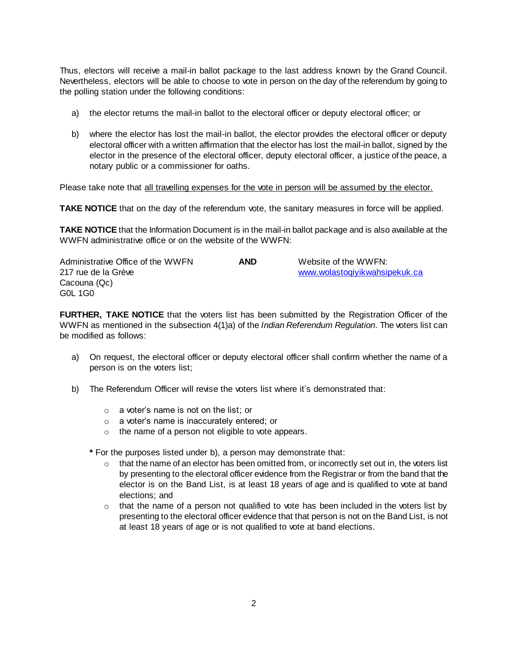Thus, electors will receive a mail-in ballot package to the last address known by the Grand Council. Nevertheless, electors will be able to choose to vote in person on the day of the referendum by going to the polling station under the following conditions:

- a) the elector returns the mail-in ballot to the electoral officer or deputy electoral officer; or
- b) where the elector has lost the mail-in ballot, the elector provides the electoral officer or deputy electoral officer with a written affirmation that the elector has lost the mail-in ballot, signed by the elector in the presence of the electoral officer, deputy electoral officer, a justice of the peace, a notary public or a commissioner for oaths.

Please take note that all travelling expenses for the vote in person will be assumed by the elector.

**TAKE NOTICE** that on the day of the referendum vote, the sanitary measures in force will be applied.

**TAKE NOTICE** that the Information Document is in the mail-in ballot package and is also available at the WWFN administrative office or on the website of the WWFN:

| Administrative Office of the WWFN | <b>AND</b> | Website of the WWFN:          |
|-----------------------------------|------------|-------------------------------|
| 217 rue de la Grève               |            | www.wolastogiyikwahsipekuk.ca |
| Cacouna (Qc)                      |            |                               |
| G0L 1G0                           |            |                               |

**FURTHER, TAKE NOTICE** that the voters list has been submitted by the Registration Officer of the WWFN as mentioned in the subsection 4(1)a) of the *Indian Referendum Regulation*. The voters list can be modified as follows:

- a) On request, the electoral officer or deputy electoral officer shall confirm whether the name of a person is on the voters list;
- b) The Referendum Officer will revise the voters list where it's demonstrated that:
	- o a voter's name is not on the list; or
	- o a voter's name is inaccurately entered; or
	- o the name of a person not eligible to vote appears.

**\*** For the purposes listed under b), a person may demonstrate that:

- $\circ$  that the name of an elector has been omitted from, or incorrectly set out in, the voters list by presenting to the electoral officer evidence from the Registrar or from the band that the elector is on the Band List, is at least 18 years of age and is qualified to vote at band elections; and
- $\circ$  that the name of a person not qualified to vote has been included in the voters list by presenting to the electoral officer evidence that that person is not on the Band List, is not at least 18 years of age or is not qualified to vote at band elections.